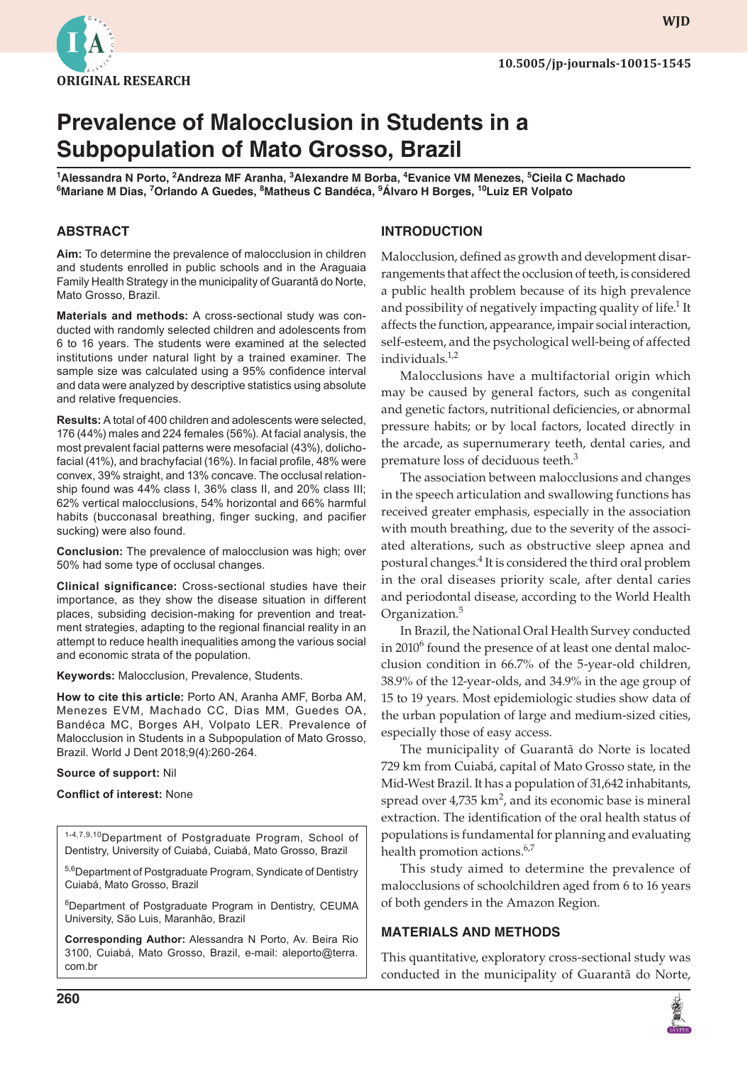

**WJD**

# **Prevalence of Malocclusion in Students in a Subpopulation of Mato Grosso, Brazil**

**1 Alessandra N Porto, 2 Andreza MF Aranha, 3 Alexandre M Borba, 4 Evanice VM Menezes, <sup>5</sup> Cieila C Machado 6 Mariane M Dias, 7 Orlando A Guedes, 8 Matheus C Bandéca, <sup>9</sup> Álvaro H Borges, 10Luiz ER Volpato**

#### **ABSTRACT**

**Aim:** To determine the prevalence of malocclusion in children and students enrolled in public schools and in the Araguaia Family Health Strategy in the municipality of Guarantã do Norte, Mato Grosso, Brazil.

**Materials and methods:** A cross-sectional study was conducted with randomly selected children and adolescents from 6 to 16 years. The students were examined at the selected institutions under natural light by a trained examiner. The sample size was calculated using a 95% confidence interval and data were analyzed by descriptive statistics using absolute and relative frequencies.

**Results:** A total of 400 children and adolescents were selected, 176 (44%) males and 224 females (56%). At facial analysis, the most prevalent facial patterns were mesofacial (43%), dolichofacial (41%), and brachyfacial (16%). In facial profile, 48% were convex, 39% straight, and 13% concave. The occlusal relationship found was 44% class I, 36% class II, and 20% class III; 62% vertical malocclusions, 54% horizontal and 66% harmful habits (bucconasal breathing, finger sucking, and pacifier sucking) were also found.

**Conclusion:** The prevalence of malocclusion was high; over 50% had some type of occlusal changes.

**Clinical significance:** Cross-sectional studies have their importance, as they show the disease situation in different places, subsiding decision-making for prevention and treatment strategies, adapting to the regional financial reality in an attempt to reduce health inequalities among the various social and economic strata of the population.

**Keywords:** Malocclusion, Prevalence, Students.

**How to cite this article:** Porto AN, Aranha AMF, Borba AM, Menezes EVM, Machado CC, Dias MM, Guedes OA, Bandéca MC, Borges AH, Volpato LER. Prevalence of Malocclusion in Students in a Subpopulation of Mato Grosso, Brazil. World J Dent 2018;9(4):260-264.

#### **Source of support:** Nil

**Conflict of interest:** None

1-4,7,9,10Department of Postgraduate Program, School of Dentistry, University of Cuiabá, Cuiabá, Mato Grosso, Brazil

5,6Department of Postgraduate Program, Syndicate of Dentistry Cuiabá, Mato Grosso, Brazil

8 Department of Postgraduate Program in Dentistry, CEUMA University, São Luis, Maranhão, Brazil

**Corresponding Author:** Alessandra N Porto, Av. Beira Rio 3100, Cuiabá, Mato Grosso, Brazil, e-mail: aleporto@terra. com.br

#### **INTRODUCTION**

Malocclusion, defined as growth and development disarrangements that affect the occlusion of teeth, is considered a public health problem because of its high prevalence and possibility of negatively impacting quality of life.<sup>1</sup> It affects the function, appearance, impair social interaction, self-esteem, and the psychological well-being of affected individuals.<sup>1,2</sup>

Malocclusions have a multifactorial origin which may be caused by general factors, such as congenital and genetic factors, nutritional deficiencies, or abnormal pressure habits; or by local factors, located directly in the arcade, as supernumerary teeth, dental caries, and premature loss of deciduous teeth.<sup>3</sup>

The association between malocclusions and changes in the speech articulation and swallowing functions has received greater emphasis, especially in the association with mouth breathing, due to the severity of the associated alterations, such as obstructive sleep apnea and postural changes.<sup>4</sup> It is considered the third oral problem in the oral diseases priority scale, after dental caries and periodontal disease, according to the World Health Organization.<sup>5</sup>

In Brazil, the National Oral Health Survey conducted in 2010<sup>6</sup> found the presence of at least one dental malocclusion condition in 66.7% of the 5-year-old children, 38.9% of the 12-year-olds, and 34.9% in the age group of 15 to 19 years. Most epidemiologic studies show data of the urban population of large and medium-sized cities, especially those of easy access.

The municipality of Guarantã do Norte is located 729 km from Cuiabá, capital of Mato Grosso state, in the Mid-West Brazil. It has a population of 31,642 inhabitants, spread over  $4,735 \text{ km}^2$ , and its economic base is mineral extraction. The identification of the oral health status of populations is fundamental for planning and evaluating health promotion actions.<sup>6,7</sup>

This study aimed to determine the prevalence of malocclusions of schoolchildren aged from 6 to 16 years of both genders in the Amazon Region.

## **MATERIALS AND METHODS**

This quantitative, exploratory cross-sectional study was conducted in the municipality of Guarantã do Norte,

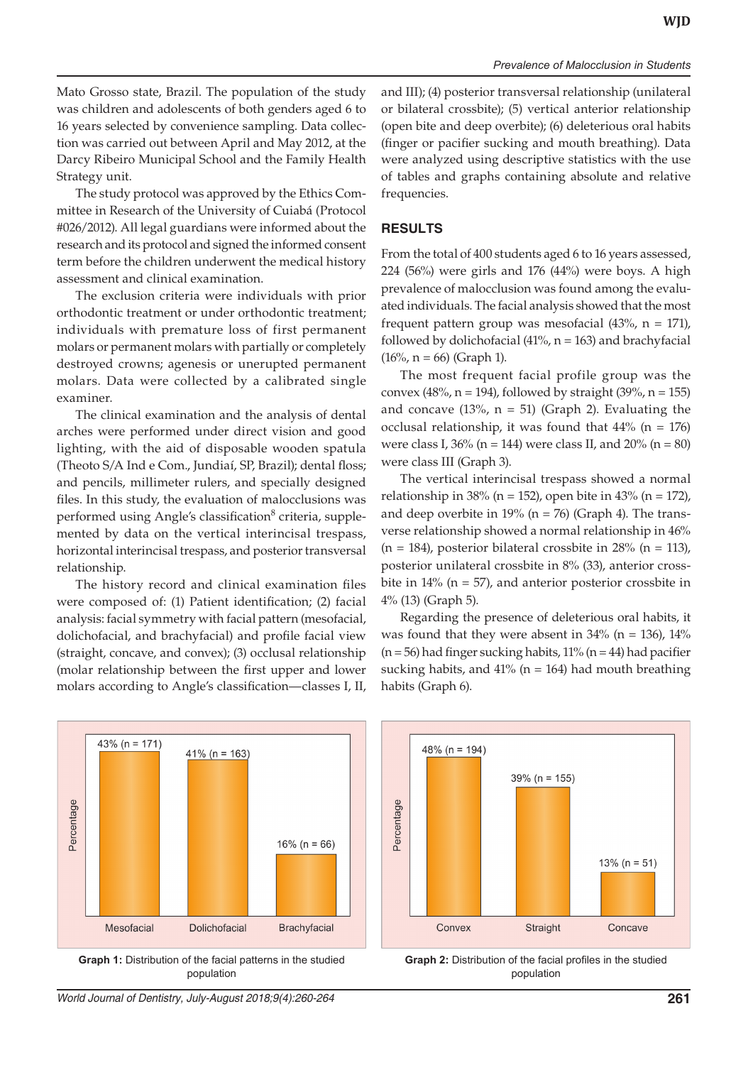Mato Grosso state, Brazil. The population of the study was children and adolescents of both genders aged 6 to 16 years selected by convenience sampling. Data collection was carried out between April and May 2012, at the Darcy Ribeiro Municipal School and the Family Health Strategy unit.

The study protocol was approved by the Ethics Committee in Research of the University of Cuiabá (Protocol #026/2012). All legal guardians were informed about the research and its protocol and signed the informed consent term before the children underwent the medical history assessment and clinical examination.

The exclusion criteria were individuals with prior orthodontic treatment or under orthodontic treatment; individuals with premature loss of first permanent molars or permanent molars with partially or completely destroyed crowns; agenesis or unerupted permanent molars. Data were collected by a calibrated single examiner.

The clinical examination and the analysis of dental arches were performed under direct vision and good lighting, with the aid of disposable wooden spatula (Theoto S/A Ind e Com., Jundiaí, SP, Brazil); dental floss; and pencils, millimeter rulers, and specially designed files. In this study, the evaluation of malocclusions was performed using Angle's classification<sup>8</sup> criteria, supplemented by data on the vertical interincisal trespass, horizontal interincisal trespass, and posterior transversal relationship.

The history record and clinical examination files were composed of: (1) Patient identification; (2) facial analysis: facial symmetry with facial pattern (mesofacial, dolichofacial, and brachyfacial) and profile facial view (straight, concave, and convex); (3) occlusal relationship (molar relationship between the first upper and lower molars according to Angle's classification—classes I, II,

and III); (4) posterior transversal relationship (unilateral or bilateral crossbite); (5) vertical anterior relationship (open bite and deep overbite); (6) deleterious oral habits (finger or pacifier sucking and mouth breathing). Data were analyzed using descriptive statistics with the use of tables and graphs containing absolute and relative frequencies.

## **RESULTS**

From the total of 400 students aged 6 to 16 years assessed, 224 (56%) were girls and 176 (44%) were boys. A high prevalence of malocclusion was found among the evaluated individuals. The facial analysis showed that the most frequent pattern group was mesofacial (43%,  $n = 171$ ), followed by dolichofacial (41%,  $n = 163$ ) and brachyfacial  $(16\%, n = 66)$  (Graph 1).

The most frequent facial profile group was the convex (48%,  $n = 194$ ), followed by straight (39%,  $n = 155$ ) and concave  $(13\% , n = 51)$  (Graph 2). Evaluating the occlusal relationship, it was found that  $44\%$  (n = 176) were class I,  $36\%$  (n = 144) were class II, and  $20\%$  (n = 80) were class III (Graph 3).

The vertical interincisal trespass showed a normal relationship in 38% (n = 152), open bite in 43% (n = 172), and deep overbite in  $19\%$  (n = 76) (Graph 4). The transverse relationship showed a normal relationship in 46%  $(n = 184)$ , posterior bilateral crossbite in 28%  $(n = 113)$ , posterior unilateral crossbite in 8% (33), anterior crossbite in  $14\%$  ( $n = 57$ ), and anterior posterior crossbite in 4% (13) (Graph 5).

Regarding the presence of deleterious oral habits, it was found that they were absent in  $34\%$  (n = 136),  $14\%$  $(n = 56)$  had finger sucking habits, 11%  $(n = 44)$  had pacifier sucking habits, and  $41\%$  (n = 164) had mouth breathing habits (Graph 6).



**Graph 1:** Distribution of the facial patterns in the studied population



**Graph 2:** Distribution of the facial profiles in the studied population

*World Journal of Dentistry, July-August 2018;9(4):260-264* **261**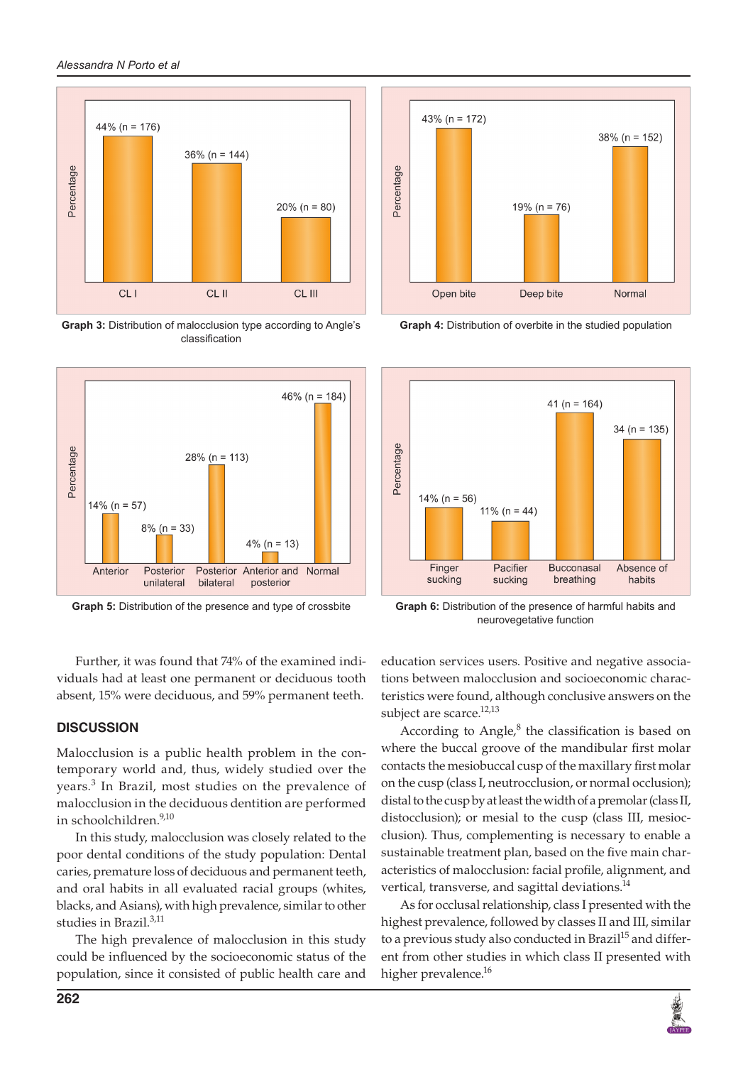

**Graph 3:** Distribution of malocclusion type according to Angle's classification



 $43\%$  (n = 172)  $38\%$  (n = 152) Percentage  $19\% (n = 76)$ Open bite Deep bite Normal

**Graph 4:** Distribution of overbite in the studied population



**Graph 5:** Distribution of the presence and type of crossbite **Graph 6:** Distribution of the presence of harmful habits and neurovegetative function

Further, it was found that 74% of the examined individuals had at least one permanent or deciduous tooth absent, 15% were deciduous, and 59% permanent teeth.

# **DISCUSSION**

Malocclusion is a public health problem in the contemporary world and, thus, widely studied over the years.<sup>3</sup> In Brazil, most studies on the prevalence of malocclusion in the deciduous dentition are performed in schoolchildren.<sup>9,10</sup>

In this study, malocclusion was closely related to the poor dental conditions of the study population: Dental caries, premature loss of deciduous and permanent teeth, and oral habits in all evaluated racial groups (whites, blacks, and Asians), with high prevalence, similar to other studies in Brazil.3,11

The high prevalence of malocclusion in this study could be influenced by the socioeconomic status of the population, since it consisted of public health care and education services users. Positive and negative associations between malocclusion and socioeconomic characteristics were found, although conclusive answers on the subject are scarce.<sup>12,13</sup>

According to  $Angle^8$  the classification is based on where the buccal groove of the mandibular first molar contacts the mesiobuccal cusp of the maxillary first molar on the cusp (class I, neutrocclusion, or normal occlusion); distal to the cusp by at least the width of a premolar (class II, distocclusion); or mesial to the cusp (class III, mesiocclusion). Thus, complementing is necessary to enable a sustainable treatment plan, based on the five main characteristics of malocclusion: facial profile, alignment, and vertical, transverse, and sagittal deviations.<sup>14</sup>

As for occlusal relationship, class I presented with the highest prevalence, followed by classes II and III, similar to a previous study also conducted in Brazil<sup>15</sup> and different from other studies in which class II presented with higher prevalence.<sup>16</sup>

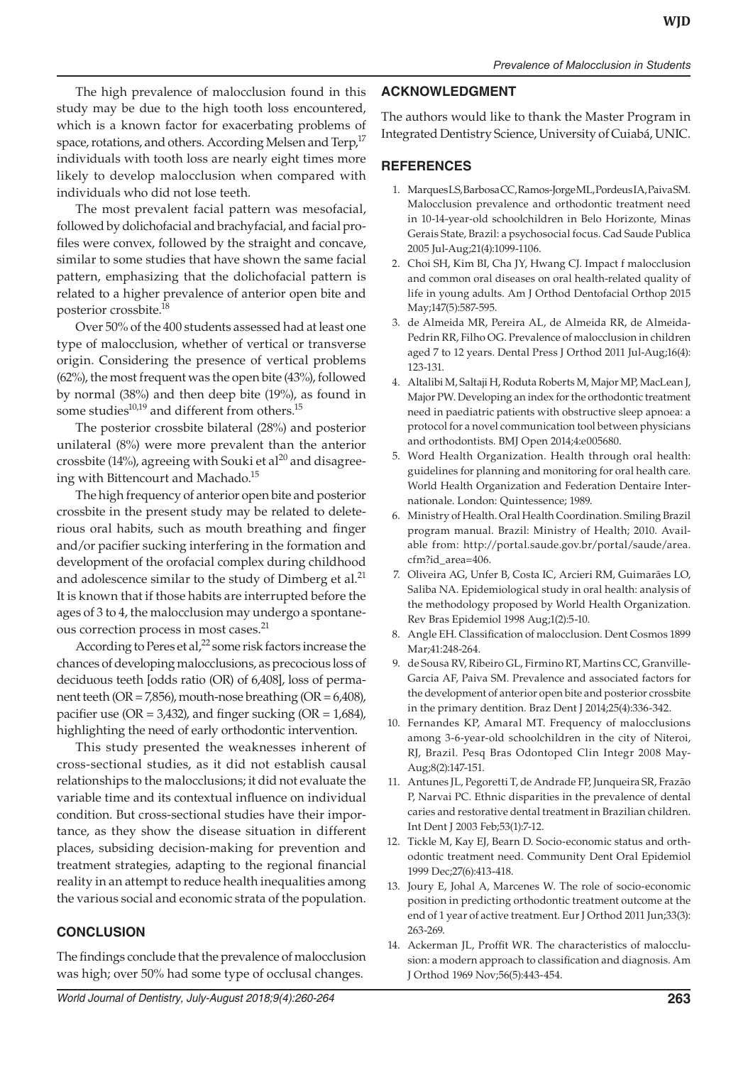The high prevalence of malocclusion found in this study may be due to the high tooth loss encountered, which is a known factor for exacerbating problems of space, rotations, and others. According Melsen and Terp,<sup>17</sup> individuals with tooth loss are nearly eight times more likely to develop malocclusion when compared with individuals who did not lose teeth.

The most prevalent facial pattern was mesofacial, followed by dolichofacial and brachyfacial, and facial profiles were convex, followed by the straight and concave, similar to some studies that have shown the same facial pattern, emphasizing that the dolichofacial pattern is related to a higher prevalence of anterior open bite and posterior crossbite.18

Over 50% of the 400 students assessed had at least one type of malocclusion, whether of vertical or transverse origin. Considering the presence of vertical problems (62%), the most frequent was the open bite (43%), followed by normal (38%) and then deep bite (19%), as found in some studies $^{10,19}$  and different from others.<sup>15</sup>

The posterior crossbite bilateral (28%) and posterior unilateral (8%) were more prevalent than the anterior crossbite (14%), agreeing with Souki et al<sup>20</sup> and disagreeing with Bittencourt and Machado.<sup>15</sup>

The high frequency of anterior open bite and posterior crossbite in the present study may be related to deleterious oral habits, such as mouth breathing and finger and/or pacifier sucking interfering in the formation and development of the orofacial complex during childhood and adolescence similar to the study of Dimberg et al. $^{21}$ It is known that if those habits are interrupted before the ages of 3 to 4, the malocclusion may undergo a spontaneous correction process in most cases.<sup>21</sup>

According to Peres et al,<sup>22</sup> some risk factors increase the chances of developing malocclusions, as precocious loss of deciduous teeth [odds ratio (OR) of 6,408], loss of permanent teeth (OR = 7,856), mouth-nose breathing (OR =  $6,408$ ), pacifier use (OR =  $3,432$ ), and finger sucking (OR =  $1,684$ ), highlighting the need of early orthodontic intervention.

This study presented the weaknesses inherent of cross-sectional studies, as it did not establish causal relationships to the malocclusions; it did not evaluate the variable time and its contextual influence on individual condition. But cross-sectional studies have their importance, as they show the disease situation in different places, subsiding decision-making for prevention and treatment strategies, adapting to the regional financial reality in an attempt to reduce health inequalities among the various social and economic strata of the population.

## **CONCLUSION**

The findings conclude that the prevalence of malocclusion was high; over 50% had some type of occlusal changes.

## **ACKNOWLEDGMENT**

The authors would like to thank the Master Program in Integrated Dentistry Science, University of Cuiabá, UNIC.

#### **REFERENCES**

- 1. Marques LS, Barbosa CC, Ramos-Jorge ML, Pordeus IA, Paiva SM. Malocclusion prevalence and orthodontic treatment need in 10-14-year-old schoolchildren in Belo Horizonte, Minas Gerais State, Brazil: a psychosocial focus. Cad Saude Publica 2005 Jul-Aug;21(4):1099-1106.
- 2. Choi SH, Kim BI, Cha JY, Hwang CJ. Impact f malocclusion and common oral diseases on oral health-related quality of life in young adults. Am J Orthod Dentofacial Orthop 2015 May;147(5):587-595.
- 3. de Almeida MR, Pereira AL, de Almeida RR, de Almeida-Pedrin RR, Filho OG. Prevalence of malocclusion in children aged 7 to 12 years. Dental Press J Orthod 2011 Jul-Aug;16(4): 123-131.
- 4. Altalibi M, Saltaji H, Roduta Roberts M, Major MP, MacLean J, Major PW. Developing an index for the orthodontic treatment need in paediatric patients with obstructive sleep apnoea: a protocol for a novel communication tool between physicians and orthodontists. BMJ Open 2014;4:e005680.
- 5. Word Health Organization. Health through oral health: guidelines for planning and monitoring for oral health care. World Health Organization and Federation Dentaire Internationale. London: Quintessence; 1989.
- 6. Ministry of Health. Oral Health Coordination. Smiling Brazil program manual. Brazil: Ministry of Health; 2010. Available from: http://portal.saude.gov.br/portal/saude/area. cfm?id\_area=406.
- 7. Oliveira AG, Unfer B, Costa IC, Arcieri RM, Guimarães LO, Saliba NA. Epidemiological study in oral health: analysis of the methodology proposed by World Health Organization. Rev Bras Epidemiol 1998 Aug;1(2):5-10.
- 8. Angle EH. Classification of malocclusion. Dent Cosmos 1899 Mar;41:248-264.
- 9. de Sousa RV, Ribeiro GL, Firmino RT, Martins CC, Granville-Garcia AF, Paiva SM. Prevalence and associated factors for the development of anterior open bite and posterior crossbite in the primary dentition. Braz Dent J 2014;25(4):336-342.
- 10. Fernandes KP, Amaral MT. Frequency of malocclusions among 3-6-year-old schoolchildren in the city of Niteroi, RJ, Brazil. Pesq Bras Odontoped Clin Integr 2008 May-Aug;8(2):147-151.
- 11. Antunes JL, Pegoretti T, de Andrade FP, Junqueira SR, Frazão P, Narvai PC. Ethnic disparities in the prevalence of dental caries and restorative dental treatment in Brazilian children. Int Dent J 2003 Feb;53(1):7-12.
- 12. Tickle M, Kay EJ, Bearn D. Socio-economic status and orthodontic treatment need. Community Dent Oral Epidemiol 1999 Dec;27(6):413-418.
- 13. Joury E, Johal A, Marcenes W. The role of socio-economic position in predicting orthodontic treatment outcome at the end of 1 year of active treatment. Eur J Orthod 2011 Jun;33(3): 263-269.
- 14. Ackerman JL, Proffit WR. The characteristics of malocclusion: a modern approach to classification and diagnosis. Am J Orthod 1969 Nov;56(5):443-454.